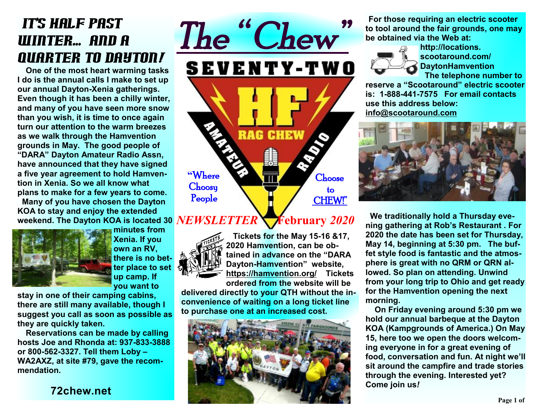# It's half past winter... and a quarter to Dayton*!*

 **One of the most heart warming tasks I do is the annual calls I make to set up our annual Dayton-Xenia gatherings. Even though it has been a chilly winter, and many of you have seen more snow than you wish, it is time to once again turn our attention to the warm breezes as we walk through the Hamvention grounds in May. The good people of "DARA" Dayton Amateur Radio Assn, have announced that they have signed a five year agreement to hold Hamvention in Xenia. So we all know what plans to make for a few years to come.** 

 **Many of you have chosen the Dayton KOA to stay and enjoy the extended** 



**minutes from Xenia. If you own an RV, there is no better place to set up camp. If you want to** 

**stay in one of their camping cabins, there are still many available, though I suggest you call as soon as possible as they are quickly taken.** 

 **Reservations can be made by calling hosts Joe and Rhonda at: 937-833-3888 or 800-562-3327. Tell them Loby – WA2AXZ, at site #79, gave the recommendation.** 

**72chew.net**



weekend. The Dayton KOA is located 30  $\overline{NEW S L ETTER}$   $\blacktriangleright$   $\blacktriangleright$   $\blacktriangleright$   $\blacktriangleright$   $\blacktriangleright$   $\blacktriangleleft$   $2020$ 



 **Tickets for the May 15-16 &17, 2020 Hamvention, can be obtained in advance on the "DARA Dayton-Hamvention" website, <https://hamvention.org/> Tickets ordered from the website will be** 

**delivered directly to your QTH without the inconvenience of waiting on a long ticket line to purchase one at an increased cost.** 



**For those requiring an electric scooter to tool around the fair grounds, one may be obtained via the Web at:** 



**http://locations. scootaround.com/ DaytonHamvention The telephone number to** 

**reserve a "Scootaround" electric scooter is: 1-888-441-7575 For email contacts use this address below: [info@scootaround.com](mailto:info@scootaround.com)**



 **We traditionally hold a Thursday evening gathering at Rob's Restaurant . For 2020 the date has been set for Thursday, May 14, beginning at 5:30 pm. The buffet style food is fantastic and the atmosphere is great with no QRM or QRN allowed. So plan on attending. Unwind from your long trip to Ohio and get ready for the Hamvention opening the next morning.** 

 **On Friday evening around 5:30 pm we hold our annual barbeque at the Dayton KOA (Kampgrounds of America.) On May 15, here too we open the doors welcoming everyone in for a great evening of food, conversation and fun. At night we'll sit around the campfire and trade stories through the evening. Interested yet? Come join us***!*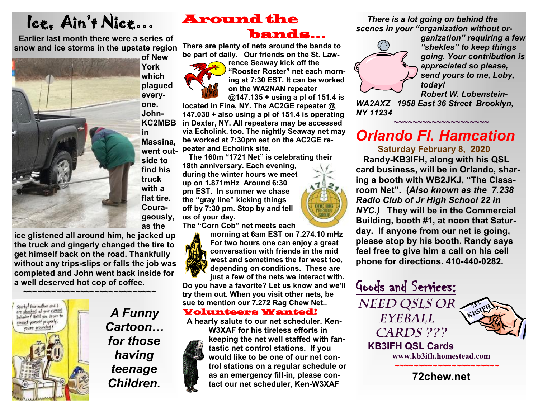# Ice, Ain't Nice…

 **Earlier last month there were a series of snow and ice storms in the upstate region** 



**York which plagued everyone. John-KC2MBB in Massina, side to find his truck with a flat tire. Courageously, as the** 

**ice glistened all around him, he jacked up the truck and gingerly changed the tire to get himself back on the road. Thankfully without any trips-slips or falls the job was completed and John went back inside for a well deserved hot cop of coffee.** 



*A Funny Cartoon… for those having teenage Children.* 

### Around the bands…

**There are plenty of nets around the bands to be part of daily. Our friends on the St. Law-**



**rence Seaway kick off the "Rooster Roster" net each morning at 7:30 EST. It can be worked on the WA2NAN repeater @147.135 + using a pl of 151.4 is** 

**located in Fine, NY. The AC2GE repeater @ 147.030 + also using a pl of 151.4 is operating in Dexter, NY. All repeaters may be accessed via Echolink. too. The nightly Seaway net may be worked at 7:30pm est on the AC2GE repeater and Echolink site.**<br> **PERECASE AND ACTES AND SUBSTITUTE** 

**The 160m "1721 Net" is celebrating their 18th anniversary. Each evening, during the winter hours we meet up on 1.871mHz Around 6:30 pm EST. In summer we chase the "gray line" kicking things ONE BIG off by 7:30 pm. Stop by and tell us of your day.** 

**The "Corn Cob" net meets each** 



**morning at 6am EST on 7.274.10 mHz For two hours one can enjoy a great conversation with friends in the mid west and sometimes the far west too, depending on conditions. These are just a few of the nets we interact with.** 

**Do you have a favorite? Let us know and we'll try them out. When you visit other nets, be sue to mention our 7.272 Rag Chew Net..** 

#### Volunteers Wanted!

 **A hearty salute to our net scheduler. Ken-W3XAF for his tireless efforts in keeping the net well staffed with fantastic net control stations. If you would like to be one of our net control stations on a regular schedule or as an emergency fill-in, please contact our net scheduler, Ken-W3XAF**

*There is a lot going on behind the scenes in your "organization without or-*



*ganization" requiring a few "shekles" to keep things going. Your contribution is appreciated so please, send yours to me, Loby, today!* 

*Robert W. Lobenstein-*

*WA2AXZ 1958 East 36 Street Brooklyn, NY 11234*

## *Orlando Fl. Hamcation*

**~~~~~~~~~~~~~~~~~~~~** 

 **Saturday February 8, 2020** 

 **Randy-KB3IFH, along with his QSL card business, will be in Orlando, sharing a booth with WB2JKJ, "The Classroom Net". (***Also known as the 7.238 Radio Club of Jr High School 22 in NYC.)* **They will be in the Commercial Building, booth #1, at noon that Saturday. If anyone from our net is going, please stop by his booth. Randy says feel free to give him a call on his cell phone for directions. 410-440-0282.** 

Goods and Services: *Need QSLs or Eyeball Cards ???*   **KB3IFH QSL Cards [www.kb3ifh.homestead.com](http://www.kb3ifh.homestead.com) 73's KB3IFH**